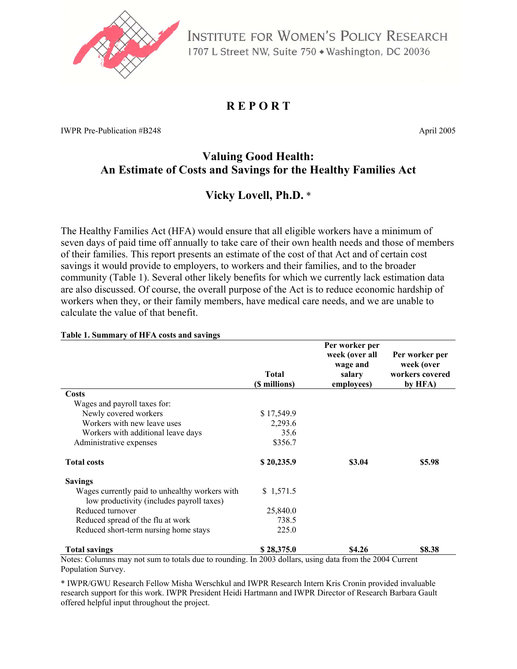

INSTITUTE FOR WOMEN'S POLICY RESEARCH 1707 L Street NW, Suite 750 · Washington, DC 20036

# **R E P O R T**

IWPR Pre-Publication #B248 April 2005

# **Valuing Good Health: An Estimate of Costs and Savings for the Healthy Families Act**

# **Vicky Lovell, Ph.D.** \*

The Healthy Families Act (HFA) would ensure that all eligible workers have a minimum of seven days of paid time off annually to take care of their own health needs and those of members of their families. This report presents an estimate of the cost of that Act and of certain cost savings it would provide to employers, to workers and their families, and to the broader community (Table 1). Several other likely benefits for which we currently lack estimation data are also discussed. Of course, the overall purpose of the Act is to reduce economic hardship of workers when they, or their family members, have medical care needs, and we are unable to calculate the value of that benefit.

|                                                                                             | <b>Total</b><br>(\$ millions) | Per worker per<br>week (over all<br>wage and<br>salary<br>employees) | Per worker per<br>week (over<br>workers covered<br>by HFA) |
|---------------------------------------------------------------------------------------------|-------------------------------|----------------------------------------------------------------------|------------------------------------------------------------|
| Costs                                                                                       |                               |                                                                      |                                                            |
| Wages and payroll taxes for:                                                                |                               |                                                                      |                                                            |
| Newly covered workers                                                                       | \$17,549.9                    |                                                                      |                                                            |
| Workers with new leave uses                                                                 | 2,293.6                       |                                                                      |                                                            |
| Workers with additional leave days                                                          | 35.6                          |                                                                      |                                                            |
| Administrative expenses                                                                     | \$356.7                       |                                                                      |                                                            |
| <b>Total costs</b>                                                                          | \$20,235.9                    | \$3.04                                                               | \$5.98                                                     |
| <b>Savings</b>                                                                              |                               |                                                                      |                                                            |
| Wages currently paid to unhealthy workers with<br>low productivity (includes payroll taxes) | \$1,571.5                     |                                                                      |                                                            |
| Reduced turnover                                                                            | 25,840.0                      |                                                                      |                                                            |
| Reduced spread of the flu at work                                                           | 738.5                         |                                                                      |                                                            |
| Reduced short-term nursing home stays                                                       | 225.0                         |                                                                      |                                                            |
| <b>Total savings</b>                                                                        | \$28,375.0                    | \$4.26                                                               | \$8.38                                                     |

#### **Table 1. Summary of HFA costs and savings**

not sum to totals due to rounding. In 2003 dollars, using data from the 2004 Current Population Survey.

\* IWPR/GWU Research Fellow Misha Werschkul and IWPR Research Intern Kris Cronin provided invaluable research support for this work. IWPR President Heidi Hartmann and IWPR Director of Research Barbara Gault offered helpful input throughout the project.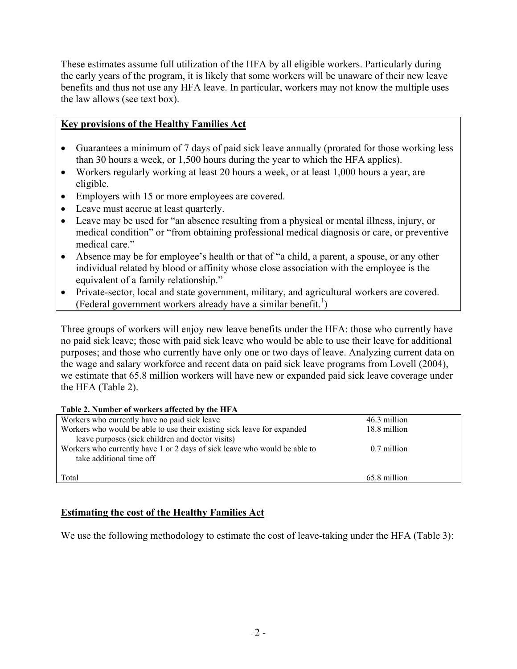These estimates assume full utilization of the HFA by all eligible workers. Particularly during the early years of the program, it is likely that some workers will be unaware of their new leave benefits and thus not use any HFA leave. In particular, workers may not know the multiple uses the law allows (see text box).

# **Key provisions of the Healthy Families Act**

- Guarantees a minimum of 7 days of paid sick leave annually (prorated for those working less than 30 hours a week, or 1,500 hours during the year to which the HFA applies).
- Workers regularly working at least 20 hours a week, or at least 1,000 hours a year, are eligible.
- Employers with 15 or more employees are covered.
- Leave must accrue at least quarterly.
- Leave may be used for "an absence resulting from a physical or mental illness, injury, or medical condition" or "from obtaining professional medical diagnosis or care, or preventive medical care."
- Absence may be for employee's health or that of "a child, a parent, a spouse, or any other individual related by blood or affinity whose close association with the employee is the equivalent of a family relationship."
- Private-sector, local and state government, military, and agricultural workers are covered. (Federal government workers already have a similar benefit.<sup>1</sup>)

Three groups of workers will enjoy new leave benefits under the HFA: those who currently have no paid sick leave; those with paid sick leave who would be able to use their leave for additional purposes; and those who currently have only one or two days of leave. Analyzing current data on the wage and salary workforce and recent data on paid sick leave programs from Lovell (2004), we estimate that 65.8 million workers will have new or expanded paid sick leave coverage under the HFA (Table 2).

#### **Table 2. Number of workers affected by the HFA**

| Workers who currently have no paid sick leave                             | 46.3 million |
|---------------------------------------------------------------------------|--------------|
| Workers who would be able to use their existing sick leave for expanded   | 18.8 million |
| leave purposes (sick children and doctor visits)                          |              |
| Workers who currently have 1 or 2 days of sick leave who would be able to | 0.7 million  |
| take additional time off                                                  |              |
|                                                                           |              |
| Total                                                                     | 65.8 million |

# **Estimating the cost of the Healthy Families Act**

We use the following methodology to estimate the cost of leave-taking under the HFA (Table 3):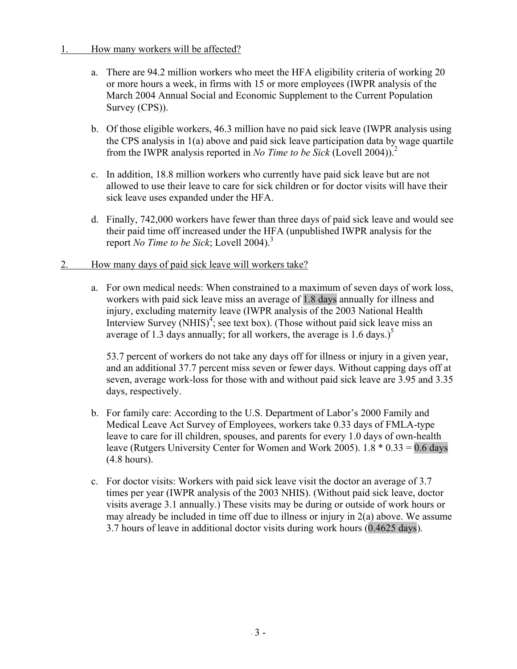### 1. How many workers will be affected?

- a. There are 94.2 million workers who meet the HFA eligibility criteria of working 20 or more hours a week, in firms with 15 or more employees (IWPR analysis of the March 2004 Annual Social and Economic Supplement to the Current Population Survey (CPS)).
- b. Of those eligible workers, 46.3 million have no paid sick leave (IWPR analysis using the CPS analysis in 1(a) above and paid sick leave participation data by wage quartile from the IWPR analysis reported in *No Time to be Sick* (Lovell 2004)).2
- c. In addition, 18.8 million workers who currently have paid sick leave but are not allowed to use their leave to care for sick children or for doctor visits will have their sick leave uses expanded under the HFA.
- d. Finally, 742,000 workers have fewer than three days of paid sick leave and would see their paid time off increased under the HFA (unpublished IWPR analysis for the report *No Time to be Sick*; Lovell 2004).<sup>3</sup>
- 2. How many days of paid sick leave will workers take?
	- a. For own medical needs: When constrained to a maximum of seven days of work loss, workers with paid sick leave miss an average of 1.8 days annually for illness and injury, excluding maternity leave (IWPR analysis of the 2003 National Health Interview Survey (NHIS)<sup>4</sup>; see text box). (Those without paid sick leave miss an average of 1.3 days annually; for all workers, the average is 1.6 days.)<sup>5</sup>

53.7 percent of workers do not take any days off for illness or injury in a given year, and an additional 37.7 percent miss seven or fewer days. Without capping days off at seven, average work-loss for those with and without paid sick leave are 3.95 and 3.35 days, respectively.

- b. For family care: According to the U.S. Department of Labor's 2000 Family and Medical Leave Act Survey of Employees, workers take 0.33 days of FMLA-type leave to care for ill children, spouses, and parents for every 1.0 days of own-health leave (Rutgers University Center for Women and Work 2005).  $1.8 * 0.33 = 0.6$  days (4.8 hours).
- c. For doctor visits: Workers with paid sick leave visit the doctor an average of 3.7 times per year (IWPR analysis of the 2003 NHIS). (Without paid sick leave, doctor visits average 3.1 annually.) These visits may be during or outside of work hours or may already be included in time off due to illness or injury in 2(a) above. We assume 3.7 hours of leave in additional doctor visits during work hours (0.4625 days).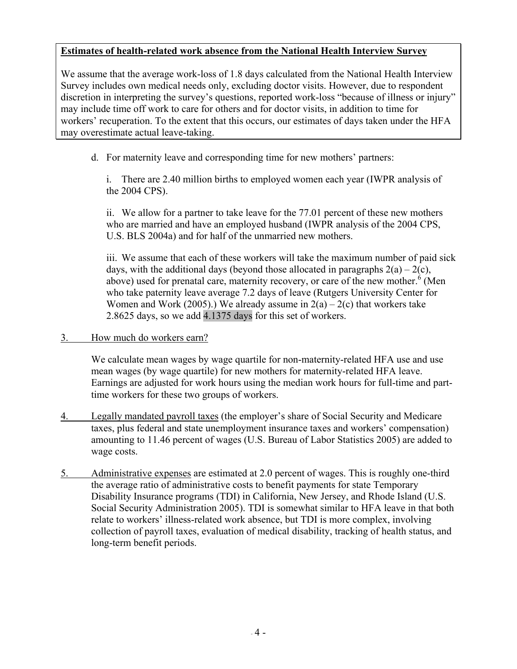# **Estimates of health-related work absence from the National Health Interview Survey**

We assume that the average work-loss of 1.8 days calculated from the National Health Interview Survey includes own medical needs only, excluding doctor visits. However, due to respondent discretion in interpreting the survey's questions, reported work-loss "because of illness or injury" may include time off work to care for others and for doctor visits, in addition to time for workers' recuperation. To the extent that this occurs, our estimates of days taken under the HFA may overestimate actual leave-taking.

d. For maternity leave and corresponding time for new mothers' partners:

 i. There are 2.40 million births to employed women each year (IWPR analysis of the 2004 CPS).

 ii. We allow for a partner to take leave for the 77.01 percent of these new mothers who are married and have an employed husband (IWPR analysis of the 2004 CPS, U.S. BLS 2004a) and for half of the unmarried new mothers.

 iii. We assume that each of these workers will take the maximum number of paid sick days, with the additional days (beyond those allocated in paragraphs  $2(a) - 2(c)$ , above) used for prenatal care, maternity recovery, or care of the new mother. $\frac{6}{3}$  (Men who take paternity leave average 7.2 days of leave (Rutgers University Center for Women and Work (2005).) We already assume in  $2(a) - 2(c)$  that workers take 2.8625 days, so we add 4.1375 days for this set of workers.

3. How much do workers earn?

 We calculate mean wages by wage quartile for non-maternity-related HFA use and use mean wages (by wage quartile) for new mothers for maternity-related HFA leave. Earnings are adjusted for work hours using the median work hours for full-time and parttime workers for these two groups of workers.

- 4. Legally mandated payroll taxes (the employer's share of Social Security and Medicare taxes, plus federal and state unemployment insurance taxes and workers' compensation) amounting to 11.46 percent of wages (U.S. Bureau of Labor Statistics 2005) are added to wage costs.
- 5. Administrative expenses are estimated at 2.0 percent of wages. This is roughly one-third the average ratio of administrative costs to benefit payments for state Temporary Disability Insurance programs (TDI) in California, New Jersey, and Rhode Island (U.S. Social Security Administration 2005). TDI is somewhat similar to HFA leave in that both relate to workers' illness-related work absence, but TDI is more complex, involving collection of payroll taxes, evaluation of medical disability, tracking of health status, and long-term benefit periods.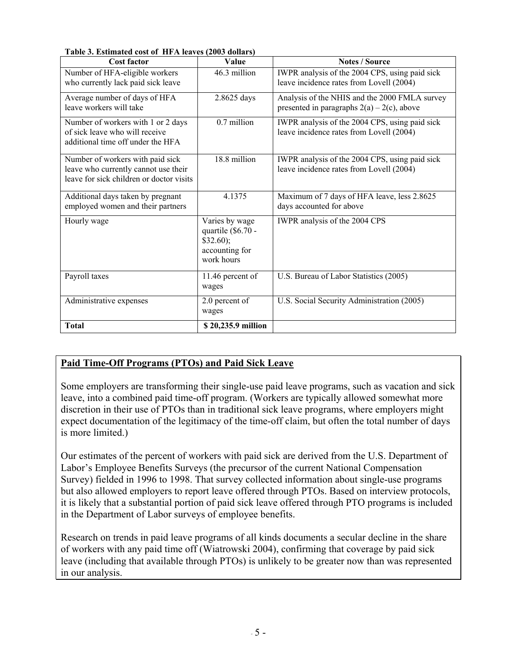| Cost factor                                                                                                          | <b>Value</b>                                                                      | <b>Notes / Source</b>                                                                          |
|----------------------------------------------------------------------------------------------------------------------|-----------------------------------------------------------------------------------|------------------------------------------------------------------------------------------------|
| Number of HFA-eligible workers<br>who currently lack paid sick leave                                                 | 46.3 million                                                                      | IWPR analysis of the 2004 CPS, using paid sick<br>leave incidence rates from Lovell (2004)     |
| Average number of days of HFA<br>leave workers will take                                                             | 2.8625 days                                                                       | Analysis of the NHIS and the 2000 FMLA survey<br>presented in paragraphs $2(a) - 2(c)$ , above |
| Number of workers with 1 or 2 days<br>of sick leave who will receive<br>additional time off under the HFA            | 0.7 million                                                                       | IWPR analysis of the 2004 CPS, using paid sick<br>leave incidence rates from Lovell (2004)     |
| Number of workers with paid sick<br>leave who currently cannot use their<br>leave for sick children or doctor visits | 18.8 million                                                                      | IWPR analysis of the 2004 CPS, using paid sick<br>leave incidence rates from Lovell (2004)     |
| Additional days taken by pregnant<br>employed women and their partners                                               | 4.1375                                                                            | Maximum of 7 days of HFA leave, less 2.8625<br>days accounted for above                        |
| Hourly wage                                                                                                          | Varies by wage<br>quartile (\$6.70 -<br>\$32.60);<br>accounting for<br>work hours | IWPR analysis of the 2004 CPS                                                                  |
| Payroll taxes                                                                                                        | 11.46 percent of<br>wages                                                         | U.S. Bureau of Labor Statistics (2005)                                                         |
| Administrative expenses                                                                                              | 2.0 percent of<br>wages                                                           | U.S. Social Security Administration (2005)                                                     |
| <b>Total</b>                                                                                                         | \$20,235.9 million                                                                |                                                                                                |

#### **Table 3. Estimated cost of HFA leaves (2003 dollars)**

# **Paid Time-Off Programs (PTOs) and Paid Sick Leave**

Some employers are transforming their single-use paid leave programs, such as vacation and sick leave, into a combined paid time-off program. (Workers are typically allowed somewhat more discretion in their use of PTOs than in traditional sick leave programs, where employers might expect documentation of the legitimacy of the time-off claim, but often the total number of days is more limited.)

Our estimates of the percent of workers with paid sick are derived from the U.S. Department of Labor's Employee Benefits Surveys (the precursor of the current National Compensation Survey) fielded in 1996 to 1998. That survey collected information about single-use programs but also allowed employers to report leave offered through PTOs. Based on interview protocols, it is likely that a substantial portion of paid sick leave offered through PTO programs is included in the Department of Labor surveys of employee benefits.

Research on trends in paid leave programs of all kinds documents a secular decline in the share of workers with any paid time off (Wiatrowski 2004), confirming that coverage by paid sick leave (including that available through PTOs) is unlikely to be greater now than was represented in our analysis.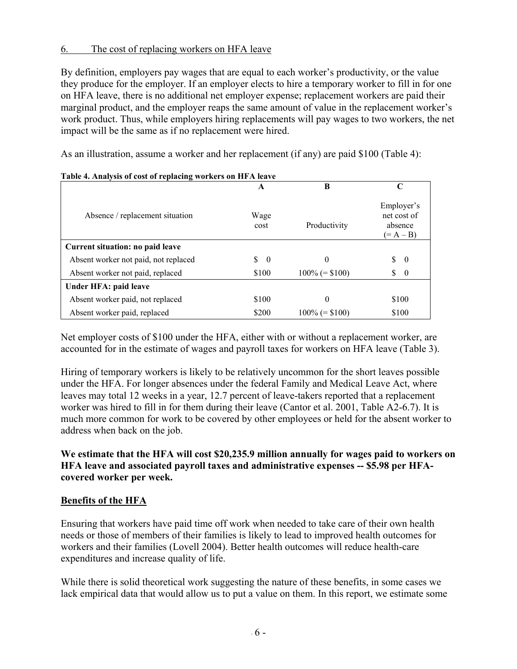### 6. The cost of replacing workers on HFA leave

By definition, employers pay wages that are equal to each worker's productivity, or the value they produce for the employer. If an employer elects to hire a temporary worker to fill in for one on HFA leave, there is no additional net employer expense; replacement workers are paid their marginal product, and the employer reaps the same amount of value in the replacement worker's work product. Thus, while employers hiring replacements will pay wages to two workers, the net impact will be the same as if no replacement were hired.

As an illustration, assume a worker and her replacement (if any) are paid \$100 (Table 4):

|                                      | A              | B                 | C                                                   |
|--------------------------------------|----------------|-------------------|-----------------------------------------------------|
| Absence / replacement situation      | Wage<br>cost   | Productivity      | Employer's<br>net cost of<br>absence<br>$(= A - B)$ |
| Current situation: no paid leave     |                |                   |                                                     |
| Absent worker not paid, not replaced | \$<br>$\bf{0}$ | $\theta$          | \$.<br>- 0                                          |
| Absent worker not paid, replaced     | \$100          | $100\% (= $100)$  | \$<br>$\overline{0}$                                |
| Under HFA: paid leave                |                |                   |                                                     |
| Absent worker paid, not replaced     | \$100          | $\theta$          | \$100                                               |
| Absent worker paid, replaced         | \$200          | $100\%$ (= \$100) | \$100                                               |

|  |  | Table 4. Analysis of cost of replacing workers on HFA leave |
|--|--|-------------------------------------------------------------|
|  |  |                                                             |

Net employer costs of \$100 under the HFA, either with or without a replacement worker, are accounted for in the estimate of wages and payroll taxes for workers on HFA leave (Table 3).

Hiring of temporary workers is likely to be relatively uncommon for the short leaves possible under the HFA. For longer absences under the federal Family and Medical Leave Act, where leaves may total 12 weeks in a year, 12.7 percent of leave-takers reported that a replacement worker was hired to fill in for them during their leave (Cantor et al. 2001, Table A2-6.7). It is much more common for work to be covered by other employees or held for the absent worker to address when back on the job.

**We estimate that the HFA will cost \$20,235.9 million annually for wages paid to workers on HFA leave and associated payroll taxes and administrative expenses -- \$5.98 per HFAcovered worker per week.** 

#### **Benefits of the HFA**

Ensuring that workers have paid time off work when needed to take care of their own health needs or those of members of their families is likely to lead to improved health outcomes for workers and their families (Lovell 2004). Better health outcomes will reduce health-care expenditures and increase quality of life.

While there is solid theoretical work suggesting the nature of these benefits, in some cases we lack empirical data that would allow us to put a value on them. In this report, we estimate some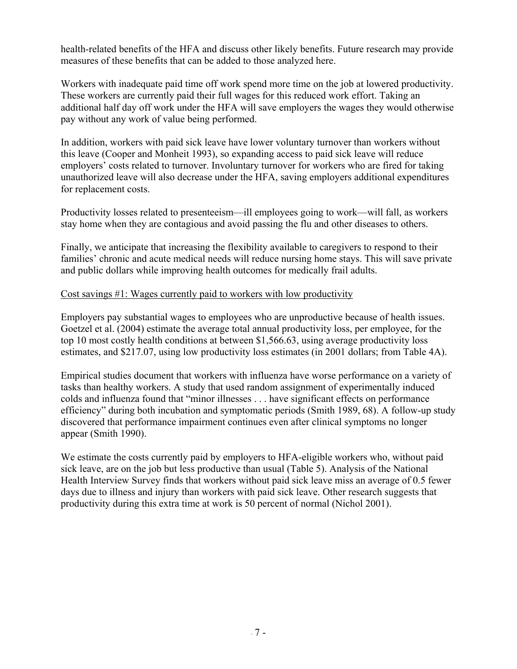health-related benefits of the HFA and discuss other likely benefits. Future research may provide measures of these benefits that can be added to those analyzed here.

Workers with inadequate paid time off work spend more time on the job at lowered productivity. These workers are currently paid their full wages for this reduced work effort. Taking an additional half day off work under the HFA will save employers the wages they would otherwise pay without any work of value being performed.

In addition, workers with paid sick leave have lower voluntary turnover than workers without this leave (Cooper and Monheit 1993), so expanding access to paid sick leave will reduce employers' costs related to turnover. Involuntary turnover for workers who are fired for taking unauthorized leave will also decrease under the HFA, saving employers additional expenditures for replacement costs.

Productivity losses related to presenteeism—ill employees going to work—will fall, as workers stay home when they are contagious and avoid passing the flu and other diseases to others.

Finally, we anticipate that increasing the flexibility available to caregivers to respond to their families' chronic and acute medical needs will reduce nursing home stays. This will save private and public dollars while improving health outcomes for medically frail adults.

# Cost savings #1: Wages currently paid to workers with low productivity

Employers pay substantial wages to employees who are unproductive because of health issues. Goetzel et al. (2004) estimate the average total annual productivity loss, per employee, for the top 10 most costly health conditions at between \$1,566.63, using average productivity loss estimates, and \$217.07, using low productivity loss estimates (in 2001 dollars; from Table 4A).

Empirical studies document that workers with influenza have worse performance on a variety of tasks than healthy workers. A study that used random assignment of experimentally induced colds and influenza found that "minor illnesses . . . have significant effects on performance efficiency" during both incubation and symptomatic periods (Smith 1989, 68). A follow-up study discovered that performance impairment continues even after clinical symptoms no longer appear (Smith 1990).

We estimate the costs currently paid by employers to HFA-eligible workers who, without paid sick leave, are on the job but less productive than usual (Table 5). Analysis of the National Health Interview Survey finds that workers without paid sick leave miss an average of 0.5 fewer days due to illness and injury than workers with paid sick leave. Other research suggests that productivity during this extra time at work is 50 percent of normal (Nichol 2001).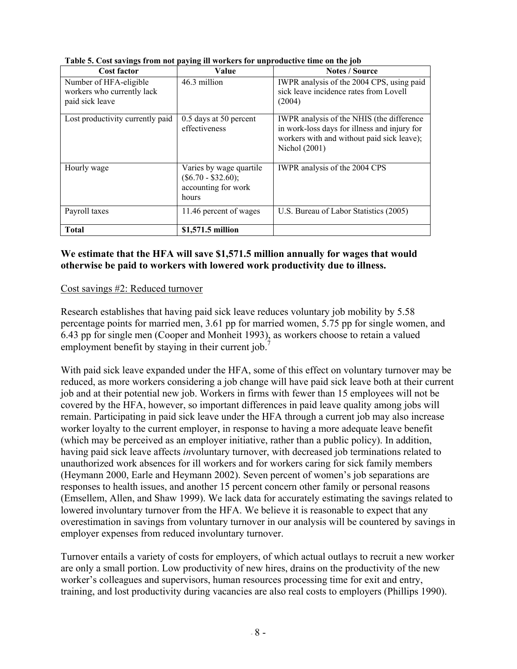| <b>Cost factor</b>                                                      | Value                                                                            | <b>Notes / Source</b>                                                                                                                                    |
|-------------------------------------------------------------------------|----------------------------------------------------------------------------------|----------------------------------------------------------------------------------------------------------------------------------------------------------|
| Number of HFA-eligible<br>workers who currently lack<br>paid sick leave | 46.3 million                                                                     | IWPR analysis of the 2004 CPS, using paid<br>sick leave incidence rates from Lovell<br>(2004)                                                            |
| Lost productivity currently paid                                        | 0.5 days at 50 percent<br>effectiveness                                          | IWPR analysis of the NHIS (the difference<br>in work-loss days for illness and injury for<br>workers with and without paid sick leave);<br>Nichol (2001) |
| Hourly wage                                                             | Varies by wage quartile<br>$(\$6.70 - \$32.60);$<br>accounting for work<br>hours | IWPR analysis of the 2004 CPS                                                                                                                            |
| Payroll taxes                                                           | 11.46 percent of wages                                                           | U.S. Bureau of Labor Statistics (2005)                                                                                                                   |
| <b>Total</b>                                                            | \$1,571.5 million                                                                |                                                                                                                                                          |

**Table 5. Cost savings from not paying ill workers for unproductive time on the job** 

### **We estimate that the HFA will save \$1,571.5 million annually for wages that would otherwise be paid to workers with lowered work productivity due to illness.**

# Cost savings #2: Reduced turnover

Research establishes that having paid sick leave reduces voluntary job mobility by 5.58 percentage points for married men, 3.61 pp for married women, 5.75 pp for single women, and 6.43 pp for single men (Cooper and Monheit 1993), as workers choose to retain a valued employment benefit by staying in their current job.

With paid sick leave expanded under the HFA, some of this effect on voluntary turnover may be reduced, as more workers considering a job change will have paid sick leave both at their current job and at their potential new job. Workers in firms with fewer than 15 employees will not be covered by the HFA, however, so important differences in paid leave quality among jobs will remain. Participating in paid sick leave under the HFA through a current job may also increase worker loyalty to the current employer, in response to having a more adequate leave benefit (which may be perceived as an employer initiative, rather than a public policy). In addition, having paid sick leave affects *in*voluntary turnover, with decreased job terminations related to unauthorized work absences for ill workers and for workers caring for sick family members (Heymann 2000, Earle and Heymann 2002). Seven percent of women's job separations are responses to health issues, and another 15 percent concern other family or personal reasons (Emsellem, Allen, and Shaw 1999). We lack data for accurately estimating the savings related to lowered involuntary turnover from the HFA. We believe it is reasonable to expect that any overestimation in savings from voluntary turnover in our analysis will be countered by savings in employer expenses from reduced involuntary turnover.

Turnover entails a variety of costs for employers, of which actual outlays to recruit a new worker are only a small portion. Low productivity of new hires, drains on the productivity of the new worker's colleagues and supervisors, human resources processing time for exit and entry, training, and lost productivity during vacancies are also real costs to employers (Phillips 1990).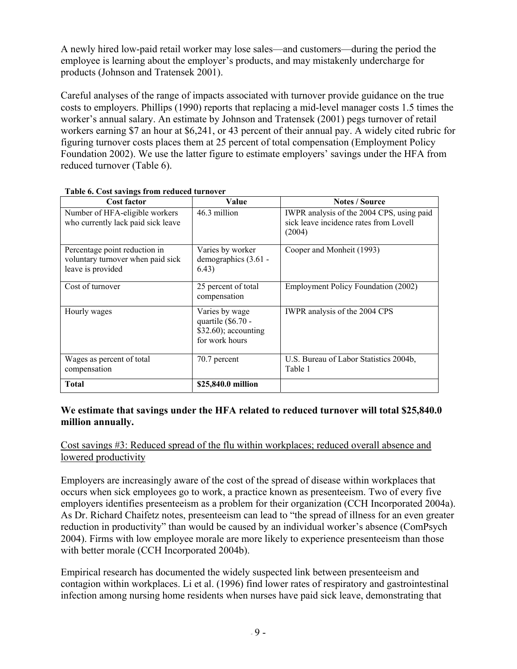A newly hired low-paid retail worker may lose sales—and customers—during the period the employee is learning about the employer's products, and may mistakenly undercharge for products (Johnson and Tratensek 2001).

Careful analyses of the range of impacts associated with turnover provide guidance on the true costs to employers. Phillips (1990) reports that replacing a mid-level manager costs 1.5 times the worker's annual salary. An estimate by Johnson and Tratensek (2001) pegs turnover of retail workers earning \$7 an hour at \$6,241, or 43 percent of their annual pay. A widely cited rubric for figuring turnover costs places them at 25 percent of total compensation (Employment Policy Foundation 2002). We use the latter figure to estimate employers' savings under the HFA from reduced turnover (Table 6).

| <b>Cost factor</b>                                                                      | Value                                                                           | <b>Notes / Source</b>                                                                         |
|-----------------------------------------------------------------------------------------|---------------------------------------------------------------------------------|-----------------------------------------------------------------------------------------------|
| Number of HFA-eligible workers<br>who currently lack paid sick leave                    | 46.3 million                                                                    | IWPR analysis of the 2004 CPS, using paid<br>sick leave incidence rates from Lovell<br>(2004) |
| Percentage point reduction in<br>voluntary turnover when paid sick<br>leave is provided | Varies by worker<br>demographics (3.61 -<br>6.43)                               | Cooper and Monheit (1993)                                                                     |
| Cost of turnover                                                                        | 25 percent of total<br>compensation                                             | Employment Policy Foundation (2002)                                                           |
| Hourly wages                                                                            | Varies by wage<br>quartile (\$6.70 -<br>$$32.60$ ; accounting<br>for work hours | IWPR analysis of the 2004 CPS                                                                 |
| Wages as percent of total<br>compensation                                               | 70.7 percent                                                                    | U.S. Bureau of Labor Statistics 2004b,<br>Table 1                                             |
| <b>Total</b>                                                                            | \$25,840.0 million                                                              |                                                                                               |

#### **Table 6. Cost savings from reduced turnover**

### **We estimate that savings under the HFA related to reduced turnover will total \$25,840.0 million annually.**

# Cost savings #3: Reduced spread of the flu within workplaces; reduced overall absence and lowered productivity

Employers are increasingly aware of the cost of the spread of disease within workplaces that occurs when sick employees go to work, a practice known as presenteeism. Two of every five employers identifies presenteeism as a problem for their organization (CCH Incorporated 2004a). As Dr. Richard Chaifetz notes, presenteeism can lead to "the spread of illness for an even greater reduction in productivity" than would be caused by an individual worker's absence (ComPsych 2004). Firms with low employee morale are more likely to experience presenteeism than those with better morale (CCH Incorporated 2004b).

Empirical research has documented the widely suspected link between presenteeism and contagion within workplaces. Li et al. (1996) find lower rates of respiratory and gastrointestinal infection among nursing home residents when nurses have paid sick leave, demonstrating that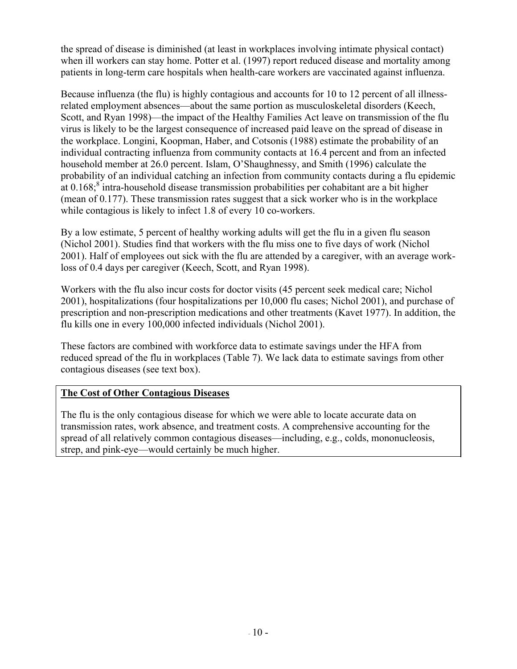the spread of disease is diminished (at least in workplaces involving intimate physical contact) when ill workers can stay home. Potter et al. (1997) report reduced disease and mortality among patients in long-term care hospitals when health-care workers are vaccinated against influenza.

Because influenza (the flu) is highly contagious and accounts for 10 to 12 percent of all illnessrelated employment absences—about the same portion as musculoskeletal disorders (Keech, Scott, and Ryan 1998)—the impact of the Healthy Families Act leave on transmission of the flu virus is likely to be the largest consequence of increased paid leave on the spread of disease in the workplace. Longini, Koopman, Haber, and Cotsonis (1988) estimate the probability of an individual contracting influenza from community contacts at 16.4 percent and from an infected household member at 26.0 percent. Islam, O'Shaughnessy, and Smith (1996) calculate the probability of an individual catching an infection from community contacts during a flu epidemic at  $0.168$ ; intra-household disease transmission probabilities per cohabitant are a bit higher (mean of 0.177). These transmission rates suggest that a sick worker who is in the workplace while contagious is likely to infect 1.8 of every 10 co-workers.

By a low estimate, 5 percent of healthy working adults will get the flu in a given flu season (Nichol 2001). Studies find that workers with the flu miss one to five days of work (Nichol 2001). Half of employees out sick with the flu are attended by a caregiver, with an average workloss of 0.4 days per caregiver (Keech, Scott, and Ryan 1998).

Workers with the flu also incur costs for doctor visits (45 percent seek medical care; Nichol 2001), hospitalizations (four hospitalizations per 10,000 flu cases; Nichol 2001), and purchase of prescription and non-prescription medications and other treatments (Kavet 1977). In addition, the flu kills one in every 100,000 infected individuals (Nichol 2001).

These factors are combined with workforce data to estimate savings under the HFA from reduced spread of the flu in workplaces (Table 7). We lack data to estimate savings from other contagious diseases (see text box).

# **The Cost of Other Contagious Diseases**

The flu is the only contagious disease for which we were able to locate accurate data on transmission rates, work absence, and treatment costs. A comprehensive accounting for the spread of all relatively common contagious diseases—including, e.g., colds, mononucleosis, strep, and pink-eye—would certainly be much higher.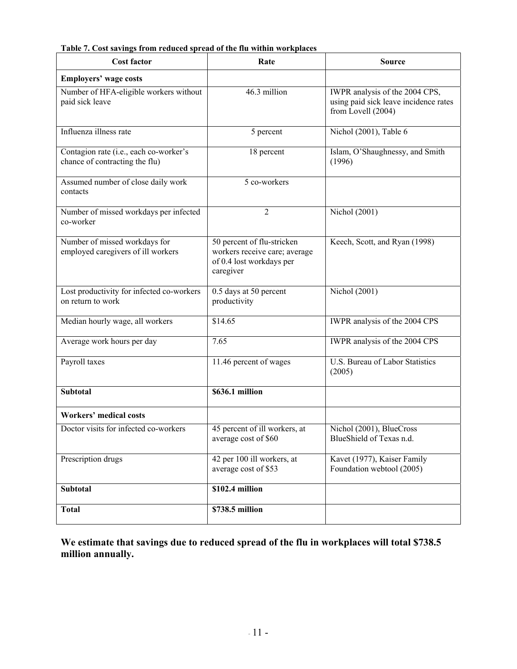| <b>Cost factor</b>                                                       | Rate                                                                                                 | <b>Source</b>                                                                                 |
|--------------------------------------------------------------------------|------------------------------------------------------------------------------------------------------|-----------------------------------------------------------------------------------------------|
| <b>Employers' wage costs</b>                                             |                                                                                                      |                                                                                               |
| Number of HFA-eligible workers without<br>paid sick leave                | 46.3 million                                                                                         | IWPR analysis of the 2004 CPS,<br>using paid sick leave incidence rates<br>from Lovell (2004) |
| Influenza illness rate                                                   | 5 percent                                                                                            | Nichol (2001), Table 6                                                                        |
| Contagion rate (i.e., each co-worker's<br>chance of contracting the flu) | 18 percent                                                                                           | Islam, O'Shaughnessy, and Smith<br>(1996)                                                     |
| Assumed number of close daily work<br>contacts                           | 5 co-workers                                                                                         |                                                                                               |
| Number of missed workdays per infected<br>co-worker                      | $\overline{2}$                                                                                       | Nichol (2001)                                                                                 |
| Number of missed workdays for<br>employed caregivers of ill workers      | 50 percent of flu-stricken<br>workers receive care; average<br>of 0.4 lost workdays per<br>caregiver | Keech, Scott, and Ryan (1998)                                                                 |
| Lost productivity for infected co-workers<br>on return to work           | 0.5 days at 50 percent<br>productivity                                                               | Nichol (2001)                                                                                 |
| Median hourly wage, all workers                                          | \$14.65                                                                                              | <b>IWPR</b> analysis of the 2004 CPS                                                          |
| Average work hours per day                                               | 7.65                                                                                                 | IWPR analysis of the 2004 CPS                                                                 |
| Payroll taxes                                                            | 11.46 percent of wages                                                                               | U.S. Bureau of Labor Statistics<br>(2005)                                                     |
| <b>Subtotal</b>                                                          | \$636.1 million                                                                                      |                                                                                               |
| <b>Workers' medical costs</b>                                            |                                                                                                      |                                                                                               |
| Doctor visits for infected co-workers                                    | 45 percent of ill workers, at<br>average cost of \$60                                                | Nichol (2001), BlueCross<br>BlueShield of Texas n.d.                                          |
| Prescription drugs                                                       | 42 per 100 ill workers, at<br>average cost of \$53                                                   | Kavet (1977), Kaiser Family<br>Foundation webtool (2005)                                      |
| <b>Subtotal</b>                                                          | \$102.4 million                                                                                      |                                                                                               |
| <b>Total</b>                                                             | \$738.5 million                                                                                      |                                                                                               |

**Table 7. Cost savings from reduced spread of the flu within workplaces** 

**We estimate that savings due to reduced spread of the flu in workplaces will total \$738.5 million annually.**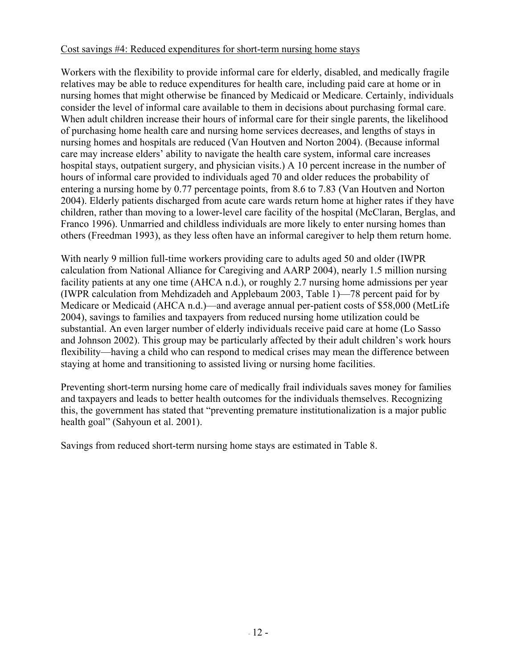### Cost savings #4: Reduced expenditures for short-term nursing home stays

Workers with the flexibility to provide informal care for elderly, disabled, and medically fragile relatives may be able to reduce expenditures for health care, including paid care at home or in nursing homes that might otherwise be financed by Medicaid or Medicare. Certainly, individuals consider the level of informal care available to them in decisions about purchasing formal care. When adult children increase their hours of informal care for their single parents, the likelihood of purchasing home health care and nursing home services decreases, and lengths of stays in nursing homes and hospitals are reduced (Van Houtven and Norton 2004). (Because informal care may increase elders' ability to navigate the health care system, informal care increases hospital stays, outpatient surgery, and physician visits.) A 10 percent increase in the number of hours of informal care provided to individuals aged 70 and older reduces the probability of entering a nursing home by 0.77 percentage points, from 8.6 to 7.83 (Van Houtven and Norton 2004). Elderly patients discharged from acute care wards return home at higher rates if they have children, rather than moving to a lower-level care facility of the hospital (McClaran, Berglas, and Franco 1996). Unmarried and childless individuals are more likely to enter nursing homes than others (Freedman 1993), as they less often have an informal caregiver to help them return home.

With nearly 9 million full-time workers providing care to adults aged 50 and older (IWPR calculation from National Alliance for Caregiving and AARP 2004), nearly 1.5 million nursing facility patients at any one time (AHCA n.d.), or roughly 2.7 nursing home admissions per year (IWPR calculation from Mehdizadeh and Applebaum 2003, Table 1)—78 percent paid for by Medicare or Medicaid (AHCA n.d.)—and average annual per-patient costs of \$58,000 (MetLife 2004), savings to families and taxpayers from reduced nursing home utilization could be substantial. An even larger number of elderly individuals receive paid care at home (Lo Sasso and Johnson 2002). This group may be particularly affected by their adult children's work hours flexibility—having a child who can respond to medical crises may mean the difference between staying at home and transitioning to assisted living or nursing home facilities.

Preventing short-term nursing home care of medically frail individuals saves money for families and taxpayers and leads to better health outcomes for the individuals themselves. Recognizing this, the government has stated that "preventing premature institutionalization is a major public health goal" (Sahyoun et al. 2001).

Savings from reduced short-term nursing home stays are estimated in Table 8.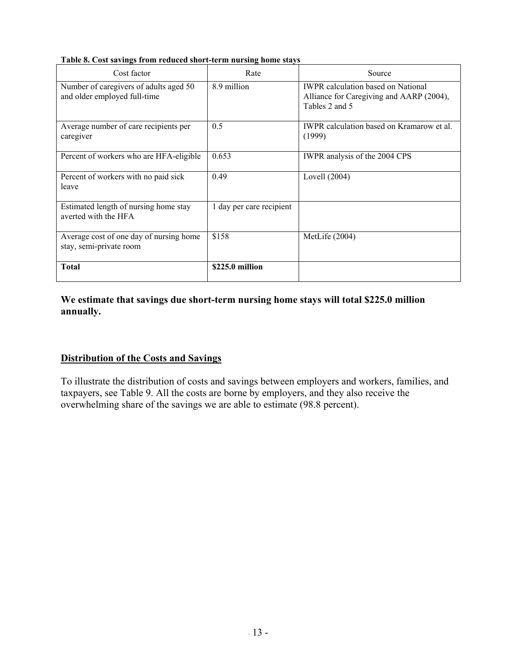| Cost factor                                                            | Rate                     | Source                                                                                                  |
|------------------------------------------------------------------------|--------------------------|---------------------------------------------------------------------------------------------------------|
| Number of caregivers of adults aged 50<br>and older employed full-time | 8.9 million              | <b>IWPR</b> calculation based on National<br>Alliance for Caregiving and AARP (2004),<br>Tables 2 and 5 |
| Average number of care recipients per<br>caregiver                     | 0.5                      | <b>IWPR</b> calculation based on Kramarow et al.<br>(1999)                                              |
| Percent of workers who are HFA-eligible                                | 0.653                    | IWPR analysis of the 2004 CPS                                                                           |
| Percent of workers with no paid sick<br>leave                          | 0.49                     | Lovell $(2004)$                                                                                         |
| Estimated length of nursing home stay<br>averted with the HFA          | 1 day per care recipient |                                                                                                         |
| Average cost of one day of nursing home<br>stay, semi-private room     | \$158                    | MetLife (2004)                                                                                          |
| <b>Total</b>                                                           | \$225.0 million          |                                                                                                         |

**Table 8. Cost savings from reduced short-term nursing home stays** 

### **We estimate that savings due short-term nursing home stays will total \$225.0 million annually.**

# **Distribution of the Costs and Savings**

To illustrate the distribution of costs and savings between employers and workers, families, and taxpayers, see Table 9. All the costs are borne by employers, and they also receive the overwhelming share of the savings we are able to estimate (98.8 percent).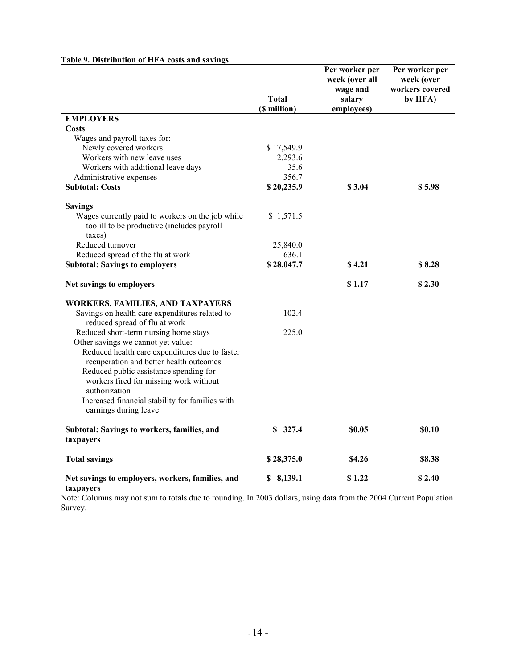|                                                                                                          | <b>Total</b><br>(\$ million) | Per worker per<br>week (over all<br>wage and<br>salary<br>employees) | Per worker per<br>week (over<br>workers covered<br>by HFA) |
|----------------------------------------------------------------------------------------------------------|------------------------------|----------------------------------------------------------------------|------------------------------------------------------------|
| <b>EMPLOYERS</b>                                                                                         |                              |                                                                      |                                                            |
| <b>Costs</b>                                                                                             |                              |                                                                      |                                                            |
| Wages and payroll taxes for:                                                                             |                              |                                                                      |                                                            |
| Newly covered workers                                                                                    | \$17,549.9                   |                                                                      |                                                            |
| Workers with new leave uses                                                                              | 2,293.6                      |                                                                      |                                                            |
| Workers with additional leave days                                                                       | 35.6                         |                                                                      |                                                            |
| Administrative expenses                                                                                  | 356.7                        |                                                                      |                                                            |
| <b>Subtotal: Costs</b>                                                                                   | \$20,235.9                   | \$3.04                                                               | \$5.98                                                     |
|                                                                                                          |                              |                                                                      |                                                            |
| <b>Savings</b>                                                                                           |                              |                                                                      |                                                            |
| Wages currently paid to workers on the job while<br>too ill to be productive (includes payroll<br>taxes) | \$1,571.5                    |                                                                      |                                                            |
| Reduced turnover                                                                                         | 25,840.0                     |                                                                      |                                                            |
| Reduced spread of the flu at work                                                                        | 636.1                        |                                                                      |                                                            |
| <b>Subtotal: Savings to employers</b>                                                                    | \$28,047.7                   | \$4.21                                                               | \$8.28                                                     |
| Net savings to employers                                                                                 |                              | \$1.17                                                               | \$2.30                                                     |
| <b>WORKERS, FAMILIES, AND TAXPAYERS</b>                                                                  |                              |                                                                      |                                                            |
| Savings on health care expenditures related to<br>reduced spread of flu at work                          | 102.4                        |                                                                      |                                                            |
| Reduced short-term nursing home stays<br>Other savings we cannot yet value:                              | 225.0                        |                                                                      |                                                            |
| Reduced health care expenditures due to faster<br>recuperation and better health outcomes                |                              |                                                                      |                                                            |
| Reduced public assistance spending for<br>workers fired for missing work without<br>authorization        |                              |                                                                      |                                                            |
| Increased financial stability for families with<br>earnings during leave                                 |                              |                                                                      |                                                            |
| Subtotal: Savings to workers, families, and<br>taxpayers                                                 | \$327.4                      | \$0.05                                                               | <b>SO.10</b>                                               |
| <b>Total savings</b>                                                                                     | \$28,375.0                   | \$4.26                                                               | \$8.38                                                     |
| Net savings to employers, workers, families, and<br>taxpayers                                            | \$8,139.1                    | \$1.22                                                               | \$2.40                                                     |

### **Table 9. Distribution of HFA costs and savings**

Note: Columns may not sum to totals due to rounding. In 2003 dollars, using data from the 2004 Current Population Survey.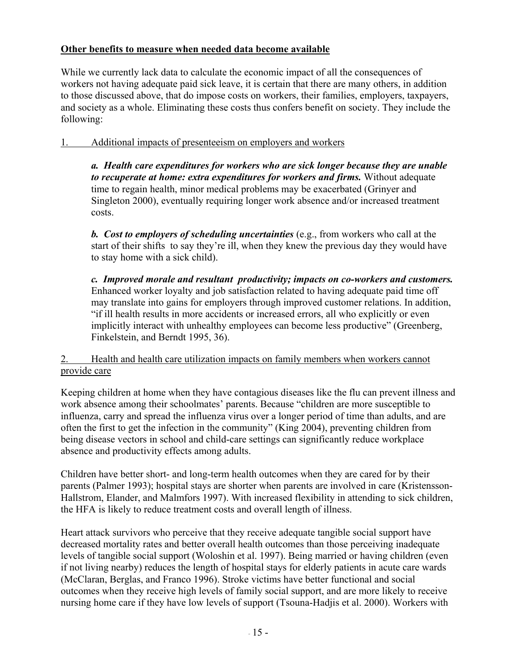# **Other benefits to measure when needed data become available**

While we currently lack data to calculate the economic impact of all the consequences of workers not having adequate paid sick leave, it is certain that there are many others, in addition to those discussed above, that do impose costs on workers, their families, employers, taxpayers, and society as a whole. Eliminating these costs thus confers benefit on society. They include the following:

# 1. Additional impacts of presenteeism on employers and workers

*a. Health care expenditures for workers who are sick longer because they are unable to recuperate at home: extra expenditures for workers and firms.* Without adequate time to regain health, minor medical problems may be exacerbated (Grinyer and Singleton 2000), eventually requiring longer work absence and/or increased treatment costs.

*b. Cost to employers of scheduling uncertainties* (e.g., from workers who call at the start of their shifts to say they're ill, when they knew the previous day they would have to stay home with a sick child).

*c. Improved morale and resultant productivity; impacts on co-workers and customers.*  Enhanced worker loyalty and job satisfaction related to having adequate paid time off may translate into gains for employers through improved customer relations. In addition, "if ill health results in more accidents or increased errors, all who explicitly or even implicitly interact with unhealthy employees can become less productive" (Greenberg, Finkelstein, and Berndt 1995, 36).

# 2. Health and health care utilization impacts on family members when workers cannot provide care

Keeping children at home when they have contagious diseases like the flu can prevent illness and work absence among their schoolmates' parents. Because "children are more susceptible to influenza, carry and spread the influenza virus over a longer period of time than adults, and are often the first to get the infection in the community" (King 2004), preventing children from being disease vectors in school and child-care settings can significantly reduce workplace absence and productivity effects among adults.

Children have better short- and long-term health outcomes when they are cared for by their parents (Palmer 1993); hospital stays are shorter when parents are involved in care (Kristensson-Hallstrom, Elander, and Malmfors 1997). With increased flexibility in attending to sick children, the HFA is likely to reduce treatment costs and overall length of illness.

Heart attack survivors who perceive that they receive adequate tangible social support have decreased mortality rates and better overall health outcomes than those perceiving inadequate levels of tangible social support (Woloshin et al. 1997). Being married or having children (even if not living nearby) reduces the length of hospital stays for elderly patients in acute care wards (McClaran, Berglas, and Franco 1996). Stroke victims have better functional and social outcomes when they receive high levels of family social support, and are more likely to receive nursing home care if they have low levels of support (Tsouna-Hadjis et al. 2000). Workers with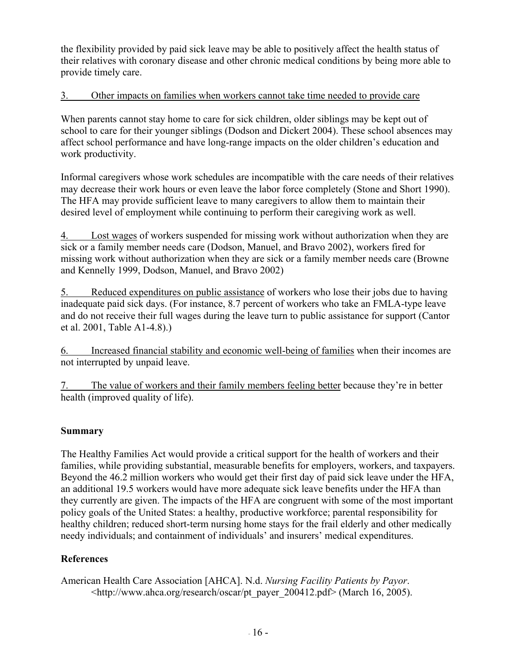the flexibility provided by paid sick leave may be able to positively affect the health status of their relatives with coronary disease and other chronic medical conditions by being more able to provide timely care.

# 3. Other impacts on families when workers cannot take time needed to provide care

When parents cannot stay home to care for sick children, older siblings may be kept out of school to care for their younger siblings (Dodson and Dickert 2004). These school absences may affect school performance and have long-range impacts on the older children's education and work productivity.

Informal caregivers whose work schedules are incompatible with the care needs of their relatives may decrease their work hours or even leave the labor force completely (Stone and Short 1990). The HFA may provide sufficient leave to many caregivers to allow them to maintain their desired level of employment while continuing to perform their caregiving work as well.

4. Lost wages of workers suspended for missing work without authorization when they are sick or a family member needs care (Dodson, Manuel, and Bravo 2002), workers fired for missing work without authorization when they are sick or a family member needs care (Browne and Kennelly 1999, Dodson, Manuel, and Bravo 2002)

5. Reduced expenditures on public assistance of workers who lose their jobs due to having inadequate paid sick days. (For instance, 8.7 percent of workers who take an FMLA-type leave and do not receive their full wages during the leave turn to public assistance for support (Cantor et al. 2001, Table A1-4.8).)

6. Increased financial stability and economic well-being of families when their incomes are not interrupted by unpaid leave.

7. The value of workers and their family members feeling better because they're in better health (improved quality of life).

# **Summary**

The Healthy Families Act would provide a critical support for the health of workers and their families, while providing substantial, measurable benefits for employers, workers, and taxpayers. Beyond the 46.2 million workers who would get their first day of paid sick leave under the HFA, an additional 19.5 workers would have more adequate sick leave benefits under the HFA than they currently are given. The impacts of the HFA are congruent with some of the most important policy goals of the United States: a healthy, productive workforce; parental responsibility for healthy children; reduced short-term nursing home stays for the frail elderly and other medically needy individuals; and containment of individuals' and insurers' medical expenditures.

# **References**

American Health Care Association [AHCA]. N.d. *Nursing Facility Patients by Payor*. <http://www.ahca.org/research/oscar/pt\_payer\_200412.pdf> (March 16, 2005).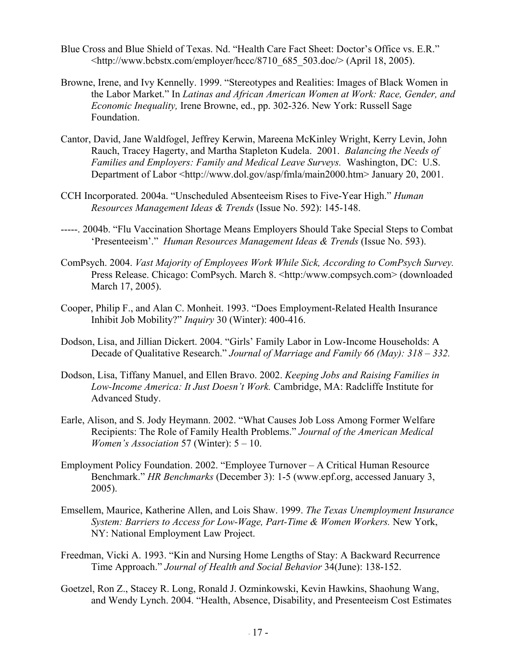- Blue Cross and Blue Shield of Texas. Nd. "Health Care Fact Sheet: Doctor's Office vs. E.R."  $\lt$ http://www.bcbstx.com/employer/hccc/8710\_685\_503.doc/> (April 18, 2005).
- Browne, Irene, and Ivy Kennelly. 1999. "Stereotypes and Realities: Images of Black Women in the Labor Market." In *Latinas and African American Women at Work: Race, Gender, and Economic Inequality,* Irene Browne, ed., pp. 302-326. New York: Russell Sage Foundation.
- Cantor, David, Jane Waldfogel, Jeffrey Kerwin, Mareena McKinley Wright, Kerry Levin, John Rauch, Tracey Hagerty, and Martha Stapleton Kudela. 2001. *Balancing the Needs of Families and Employers: Family and Medical Leave Surveys.* Washington, DC: U.S. Department of Labor <http://www.dol.gov/asp/fmla/main2000.htm> January 20, 2001.
- CCH Incorporated. 2004a. "Unscheduled Absenteeism Rises to Five-Year High." *Human Resources Management Ideas & Trends* (Issue No. 592): 145-148.
- -----. 2004b. "Flu Vaccination Shortage Means Employers Should Take Special Steps to Combat 'Presenteeism'." *Human Resources Management Ideas & Trends* (Issue No. 593).
- ComPsych. 2004. *Vast Majority of Employees Work While Sick, According to ComPsych Survey.* Press Release. Chicago: ComPsych. March 8. <http:/www.compsych.com> (downloaded March 17, 2005).
- Cooper, Philip F., and Alan C. Monheit. 1993. "Does Employment-Related Health Insurance Inhibit Job Mobility?" *Inquiry* 30 (Winter): 400-416.
- Dodson, Lisa, and Jillian Dickert. 2004. "Girls' Family Labor in Low-Income Households: A Decade of Qualitative Research." *Journal of Marriage and Family 66 (May): 318 – 332.*
- Dodson, Lisa, Tiffany Manuel, and Ellen Bravo. 2002. *Keeping Jobs and Raising Families in Low-Income America: It Just Doesn't Work.* Cambridge, MA: Radcliffe Institute for Advanced Study.
- Earle, Alison, and S. Jody Heymann. 2002. "What Causes Job Loss Among Former Welfare Recipients: The Role of Family Health Problems." *Journal of the American Medical Women's Association* 57 (Winter): 5 – 10.
- Employment Policy Foundation. 2002. "Employee Turnover A Critical Human Resource Benchmark." *HR Benchmarks* (December 3): 1-5 (www.epf.org, accessed January 3, 2005).
- Emsellem, Maurice, Katherine Allen, and Lois Shaw. 1999. *The Texas Unemployment Insurance System: Barriers to Access for Low-Wage, Part-Time & Women Workers.* New York, NY: National Employment Law Project.
- Freedman, Vicki A. 1993. "Kin and Nursing Home Lengths of Stay: A Backward Recurrence Time Approach." *Journal of Health and Social Behavior* 34(June): 138-152.
- Goetzel, Ron Z., Stacey R. Long, Ronald J. Ozminkowski, Kevin Hawkins, Shaohung Wang, and Wendy Lynch. 2004. "Health, Absence, Disability, and Presenteeism Cost Estimates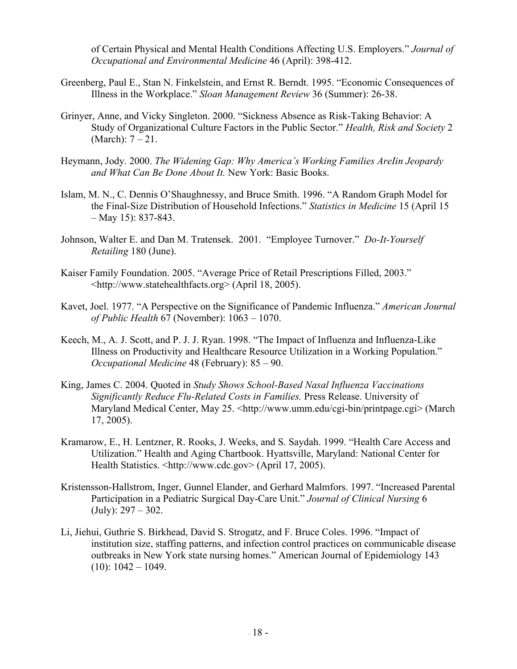of Certain Physical and Mental Health Conditions Affecting U.S. Employers." *Journal of Occupational and Environmental Medicine* 46 (April): 398-412.

- Greenberg, Paul E., Stan N. Finkelstein, and Ernst R. Berndt. 1995. "Economic Consequences of Illness in the Workplace." *Sloan Management Review* 36 (Summer): 26-38.
- Grinyer, Anne, and Vicky Singleton. 2000. "Sickness Absence as Risk-Taking Behavior: A Study of Organizational Culture Factors in the Public Sector." *Health, Risk and Society* 2 (March): 7 – 21.
- Heymann, Jody. 2000. *The Widening Gap: Why America's Working Families AreIin Jeopardy and What Can Be Done About It.* New York: Basic Books.
- Islam, M. N., C. Dennis O'Shaughnessy, and Bruce Smith. 1996. "A Random Graph Model for the Final-Size Distribution of Household Infections." *Statistics in Medicine* 15 (April 15 – May 15): 837-843.
- Johnson, Walter E. and Dan M. Tratensek. 2001. "Employee Turnover." *Do-It-Yourself Retailing* 180 (June).
- Kaiser Family Foundation. 2005. "Average Price of Retail Prescriptions Filled, 2003." <http://www.statehealthfacts.org> (April 18, 2005).
- Kavet, Joel. 1977. "A Perspective on the Significance of Pandemic Influenza." *American Journal of Public Health* 67 (November): 1063 – 1070.
- Keech, M., A. J. Scott, and P. J. J. Ryan. 1998. "The Impact of Influenza and Influenza-Like Illness on Productivity and Healthcare Resource Utilization in a Working Population." *Occupational Medicine* 48 (February): 85 – 90.
- King, James C. 2004. Quoted in *Study Shows School-Based Nasal Influenza Vaccinations Significantly Reduce Flu-Related Costs in Families.* Press Release. University of Maryland Medical Center, May 25. <http://www.umm.edu/cgi-bin/printpage.cgi> (March 17, 2005).
- Kramarow, E., H. Lentzner, R. Rooks, J. Weeks, and S. Saydah. 1999. "Health Care Access and Utilization." Health and Aging Chartbook. Hyattsville, Maryland: National Center for Health Statistics. <http://www.cdc.gov> (April 17, 2005).
- Kristensson-Hallstrom, Inger, Gunnel Elander, and Gerhard Malmfors. 1997. "Increased Parental Participation in a Pediatric Surgical Day-Care Unit." *Journal of Clinical Nursing* 6  $(July): 297 - 302.$
- Li, Jiehui, Guthrie S. Birkhead, David S. Strogatz, and F. Bruce Coles. 1996. "Impact of institution size, staffing patterns, and infection control practices on communicable disease outbreaks in New York state nursing homes." American Journal of Epidemiology 143  $(10): 1042 - 1049.$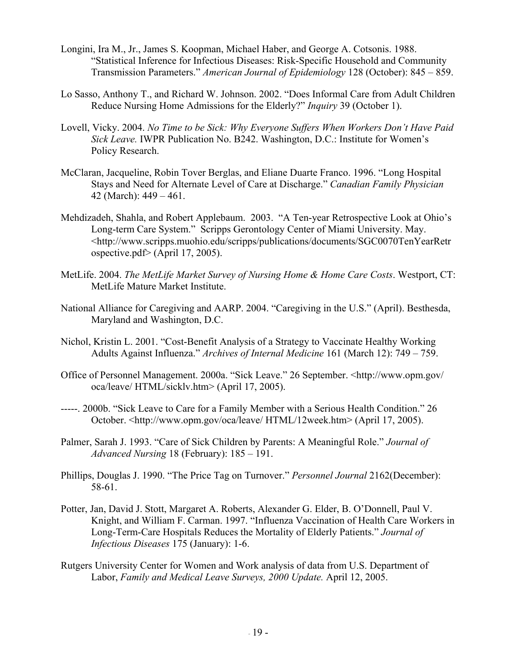- Longini, Ira M., Jr., James S. Koopman, Michael Haber, and George A. Cotsonis. 1988. "Statistical Inference for Infectious Diseases: Risk-Specific Household and Community Transmission Parameters." *American Journal of Epidemiology* 128 (October): 845 – 859.
- Lo Sasso, Anthony T., and Richard W. Johnson. 2002. "Does Informal Care from Adult Children Reduce Nursing Home Admissions for the Elderly?" *Inquiry* 39 (October 1).
- Lovell, Vicky. 2004. *No Time to be Sick: Why Everyone Suffers When Workers Don't Have Paid Sick Leave.* IWPR Publication No. B242. Washington, D.C.: Institute for Women's Policy Research.
- McClaran, Jacqueline, Robin Tover Berglas, and Eliane Duarte Franco. 1996. "Long Hospital Stays and Need for Alternate Level of Care at Discharge." *Canadian Family Physician*  42 (March): 449 – 461.
- Mehdizadeh, Shahla, and Robert Applebaum. 2003. "A Ten-year Retrospective Look at Ohio's Long-term Care System." Scripps Gerontology Center of Miami University. May. <http://www.scripps.muohio.edu/scripps/publications/documents/SGC0070TenYearRetr ospective.pdf> (April 17, 2005).
- MetLife. 2004. *The MetLife Market Survey of Nursing Home & Home Care Costs*. Westport, CT: MetLife Mature Market Institute.
- National Alliance for Caregiving and AARP. 2004. "Caregiving in the U.S." (April). Besthesda, Maryland and Washington, D.C.
- Nichol, Kristin L. 2001. "Cost-Benefit Analysis of a Strategy to Vaccinate Healthy Working Adults Against Influenza." *Archives of Internal Medicine* 161 (March 12): 749 – 759.
- Office of Personnel Management. 2000a. "Sick Leave." 26 September. <http://www.opm.gov/ oca/leave/ HTML/sicklv.htm> (April 17, 2005).
- -----. 2000b. "Sick Leave to Care for a Family Member with a Serious Health Condition." 26 October. <http://www.opm.gov/oca/leave/ HTML/12week.htm> (April 17, 2005).
- Palmer, Sarah J. 1993. "Care of Sick Children by Parents: A Meaningful Role." *Journal of Advanced Nursing* 18 (February): 185 – 191.
- Phillips, Douglas J. 1990. "The Price Tag on Turnover." *Personnel Journal* 2162(December): 58-61.
- Potter, Jan, David J. Stott, Margaret A. Roberts, Alexander G. Elder, B. O'Donnell, Paul V. Knight, and William F. Carman. 1997. "Influenza Vaccination of Health Care Workers in Long-Term-Care Hospitals Reduces the Mortality of Elderly Patients." *Journal of Infectious Diseases* 175 (January): 1-6.
- Rutgers University Center for Women and Work analysis of data from U.S. Department of Labor, *Family and Medical Leave Surveys, 2000 Update.* April 12, 2005.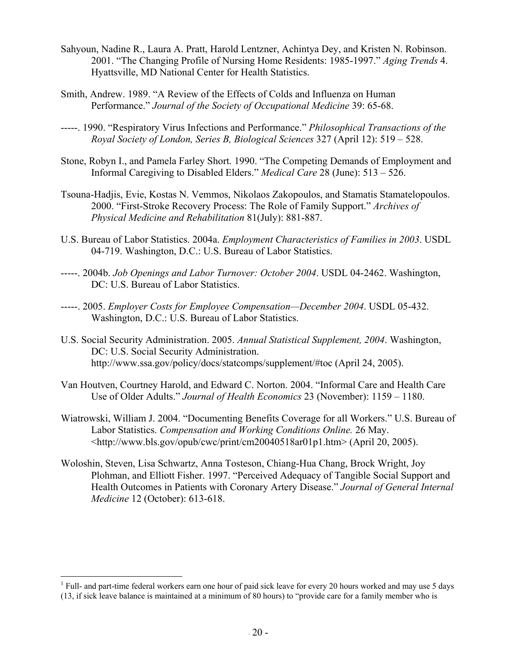- Sahyoun, Nadine R., Laura A. Pratt, Harold Lentzner, Achintya Dey, and Kristen N. Robinson. 2001. "The Changing Profile of Nursing Home Residents: 1985-1997." *Aging Trends* 4. Hyattsville, MD National Center for Health Statistics.
- Smith, Andrew. 1989. "A Review of the Effects of Colds and Influenza on Human Performance." *Journal of the Society of Occupational Medicine* 39: 65-68.
- -----. 1990. "Respiratory Virus Infections and Performance." *Philosophical Transactions of the Royal Society of London, Series B, Biological Sciences* 327 (April 12): 519 – 528.
- Stone, Robyn I., and Pamela Farley Short. 1990. "The Competing Demands of Employment and Informal Caregiving to Disabled Elders." *Medical Care* 28 (June): 513 – 526.
- Tsouna-Hadjis, Evie, Kostas N. Vemmos, Nikolaos Zakopoulos, and Stamatis Stamatelopoulos. 2000. "First-Stroke Recovery Process: The Role of Family Support." *Archives of Physical Medicine and Rehabilitation* 81(July): 881-887.
- U.S. Bureau of Labor Statistics. 2004a. *Employment Characteristics of Families in 2003*. USDL 04-719. Washington, D.C.: U.S. Bureau of Labor Statistics.
- -----. 2004b. *Job Openings and Labor Turnover: October 2004*. USDL 04-2462. Washington, DC: U.S. Bureau of Labor Statistics.
- -----. 2005. *Employer Costs for Employee Compensation—December 2004*. USDL 05-432. Washington, D.C.: U.S. Bureau of Labor Statistics.
- U.S. Social Security Administration. 2005. *Annual Statistical Supplement, 2004*. Washington, DC: U.S. Social Security Administration. http://www.ssa.gov/policy/docs/statcomps/supplement/#toc (April 24, 2005).
- Van Houtven, Courtney Harold, and Edward C. Norton. 2004. "Informal Care and Health Care Use of Older Adults." *Journal of Health Economics* 23 (November): 1159 – 1180.
- Wiatrowski, William J. 2004. "Documenting Benefits Coverage for all Workers." U.S. Bureau of Labor Statistics. *Compensation and Working Conditions Online.* 26 May. <http://www.bls.gov/opub/cwc/print/cm20040518ar01p1.htm> (April 20, 2005).
- Woloshin, Steven, Lisa Schwartz, Anna Tosteson, Chiang-Hua Chang, Brock Wright, Joy Plohman, and Elliott Fisher. 1997. "Perceived Adequacy of Tangible Social Support and Health Outcomes in Patients with Coronary Artery Disease." *Journal of General Internal Medicine* 12 (October): 613-618.

1

<sup>&</sup>lt;sup>1</sup> Full- and part-time federal workers earn one hour of paid sick leave for every 20 hours worked and may use 5 days (13, if sick leave balance is maintained at a minimum of 80 hours) to "provide care for a family member who is